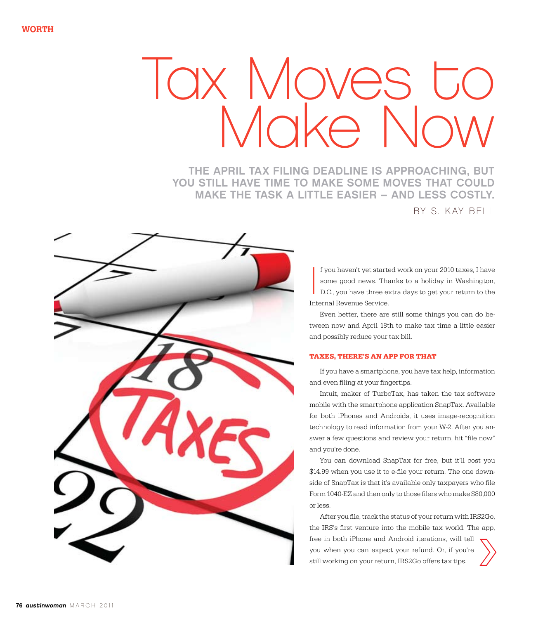# Iax Moves to Make No

The April tax filing deadline is approaching, but you still have time to make some moves that could make the task a little easier – and less costly. b y S. Kay Bell



 $\begin{array}{c} \n\end{array}$ f you haven't yet started work on your 2010 taxes, I have some good news. Thanks to a holiday in Washington, D.C., you have three extra days to get your return to the Internal Revenue Service.

Even better, there are still some things you can do between now and April 18th to make tax time a little easier and possibly reduce your tax bill.

## **Taxes, There's an App for That**

If you have a smartphone, you have tax help, information and even filing at your fingertips.

Intuit, maker of TurboTax, has taken the tax software mobile with the smartphone application SnapTax. Available for both iPhones and Androids, it uses image-recognition technology to read information from your W-2. After you answer a few questions and review your return, hit "file now" and you're done.

You can download SnapTax for free, but it'll cost you \$14.99 when you use it to e-file your return. The one downside of SnapTax is that it's available only taxpayers who file Form 1040-EZ and then only to those filers who make \$80,000 or less.

After you file, track the status of your return with IRS2Go, the IRS's first venture into the mobile tax world. The app, free in both iPhone and Android iterations, will tell you when you can expect your refund. Or, if you're still working on your return, IRS2Go offers tax tips.